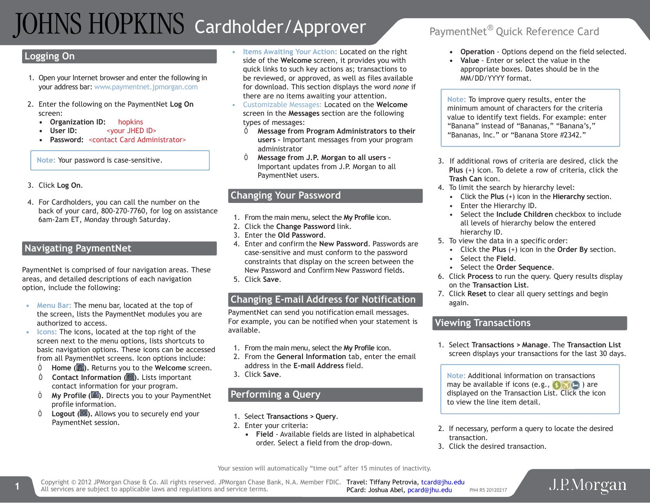# TOHNS HOPKINS Cardholder/Approver PaymentNet® Quick Reference Card

#### **Logging On**

- 1. Open your Internet browser and enter the following in your address bar: [www.paymentnet.jpmorgan.com](http://www.paymentnet.jpmorgan.com/)
- 2. Enter the following on the PaymentNet **Log On** screen:
	- **Organization ID:** hopkins
	- **User ID:** <your JHED ID>
	- **Password:** <contact Card Administrator>

**Note:** Your password is case-sensitive.

- 3. Click **Log On**.
- 4. For Cardholders, you can call the number on the back of your card, 800-270-7760, for log on assistance 6am-2am ET, Monday through Saturday.

### **Navigating PaymentNet**

PaymentNet is comprised of four navigation areas. These areas, and detailed descriptions of each navigation option, include the following:

- **Menu Bar:** The menu bar, located at the top of the screen, lists the PaymentNet modules you are authorized to access.
- **Icons:** The icons, located at the top right of the screen next to the menu options, lists shortcuts to basic navigation options. These icons can be accessed from all PaymentNet screens. Icon options include:
	- Ò **Home ( ).** Returns you to the **Welcome** screen.
	- Ò **Contact Information ( ).** Lists important contact information for your program.
	- Ò **My Profile ( ).** Directs you to your PaymentNet profile information.
	- Ò **Logout ( ).** Allows you to securely end your PaymentNet session.
- **Items Awaiting Your Action:** Located on the right side of the **Welcome** screen, it provides you with quick links to such key actions as; transactions to be reviewed, or approved, as well as files available for download. This section displays the word *none* if there are no items awaiting your attention.
- Customizable Messages: Located on the **Welcome**  screen in the **Messages** section are the following types of messages:
	- Ò **Message from Program Administrators to their users –** Important messages from your program administrator
	- Ò **Message from J.P. Morgan to all users –** Important updates from J.P. Morgan to all PaymentNet users.

#### **Changing Your Password**

- 1. From the main menu, select the **My Profile** icon.
- 2. Click the **Change Password** link.
- 3. Enter the **Old Password**.
- 4. Enter and confirm the **New Password**. Passwords are case-sensitive and must conform to the password constraints that display on the screen between the New Password and Confirm New Password fields.
- 5. Click **Save**.

#### **Changing E-mail Address for Notification**

PaymentNet can send you notification email messages. For example, you can be notified when your statement is available.

- 1. From the main menu, select the **My Profile** icon.
- 2. From the **General Information** tab, enter the email address in the **E-mail Address** field.
- 3. Click **Save**.

### **Performing a Query**

- 1. Select **Transactions > Query**.
- 2. Enter your criteria:
	- **Field**  Available fields are listed in alphabetical order. Select a field from the drop-down.

- **Operation** Options depend on the field selected.
- **Value** Enter or select the value in the appropriate boxes. Dates should be in the MM/DD/YYYY format.

**Note:** To improve query results, enter the minimum amount of characters for the criteria value to identify text fields. For example: enter "Banana" instead of "Bananas," "Banana's," "Bananas, Inc." or "Banana Store #2342."

- 3. If additional rows of criteria are desired, click the **Plus** (+) icon. To delete a row of criteria, click the **Trash Can** icon.
- 4. To limit the search by hierarchy level:
	- Click the **Plus** (+) icon in the **Hierarchy** section.
	- Enter the Hierarchy ID.
	- Select the **Include Children** checkbox to include all levels of hierarchy below the entered hierarchy ID.
- 5. To view the data in a specific order:
	- Click the **Plus** (+) icon in the **Order By** section.
	- Select the **Field**.
	- Select the **Order Sequence**.
- 6. Click **Process** to run the query. Query results display on the **Transaction List**.
- 7. Click **Reset** to clear all query settings and begin again.

#### **Viewing Transactions**

1. Select **Transactions > Manage**. The **Transaction List** screen displays your transactions for the last 30 days.

**Note:** Additional information on transactions may be available if icons (e.g.,  $\bullet$ ,  $\bullet$ ) are displayed on the Transaction List. Click the icon to view the line item detail.

- 2. If necessary, perform a query to locate the desired transaction.
- 3. Click the desired transaction.

Your session will automatically "time out" after 15 minutes of inactivity.

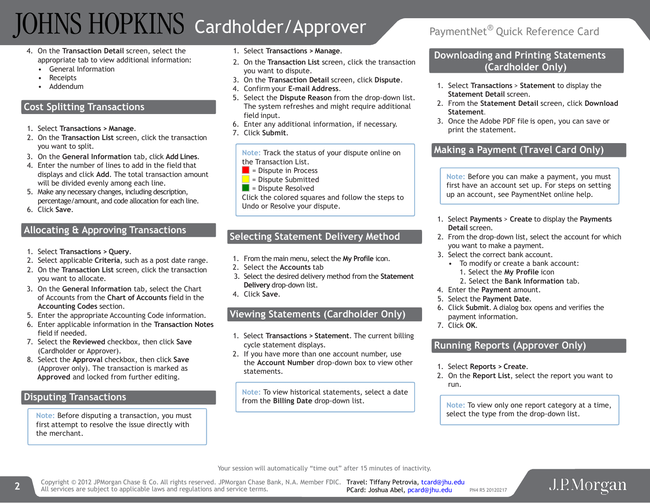# TOHNS HOPKINS Cardholder/Approver PaymentNet® Quick Reference Card

- 4. On the **Transaction Detail** screen, select the appropriate tab to view additional information:
	- General Information
	- Receipts
	- Addendum

## **Cost Splitting Transactions**

- 1. Select **Transactions > Manage**.
- 2. On the **Transaction List** screen, click the transaction you want to split.
- 3. On the **General Information** tab, click **Add Lines**.
- 4. Enter the number of lines to add in the field that displays and click **Add**. The total transaction amount will be divided evenly among each line.
- 5. Make any necessary changes, including description, percentage/amount, and code allocation for each line.
- 6. Click **Save**.

### **Allocating & Approving Transactions**

- 1. Select **Transactions > Query**.
- 2. Select applicable **Criteria**, such as a post date range.
- 2. On the **Transaction List** screen, click the transaction you want to allocate.
- 3. On the **General Information** tab, select the Chart of Accounts from the **Chart of Accounts** field in the **Accounting Codes** section.
- 5. Enter the appropriate Accounting Code information.
- 6. Enter applicable information in the **Transaction Notes** field if needed.
- 7. Select the **Reviewed** checkbox, then click **Save** (Cardholder or Approver).
- 8. Select the **Approval** checkbox, then click **Save** (Approver only). The transaction is marked as **Approved** and locked from further editing.

### **Disputing Transactions**

**Note:** Before disputing a transaction, you must first attempt to resolve the issue directly with the merchant.

- 1. Select **Transactions > Manage**.
- 2. On the **Transaction List** screen, click the transaction you want to dispute.
- 3. On the **Transaction Detail** screen, click **Dispute**.
- 4. Confirm your **E-mail Address**.
- 5. Select the **Dispute Reason** from the drop-down list. The system refreshes and might require additional field input.
- 6. Enter any additional information, if necessary.
- 7. Click **Submit**.

**Note:** Track the status of your dispute online on the Transaction List.

- $\blacksquare$  = Dispute in Process
- $\blacksquare$  = Dispute Submitted
- $\blacksquare$  = Dispute Resolved

Click the colored squares and follow the steps to Undo or Resolve your dispute.

### **Selecting Statement Delivery Method**

- 1. From the main menu, select the **My Profile** icon.
- 2. Select the **Accounts** tab
- 3. Select the desired delivery method from the **Statement Delivery** drop-down list.
- 4. Click **Save**.

# **Viewing Statements (Cardholder Only)**

- 1. Select **Transactions > Statement**. The current billing cycle statement displays.
- 2. If you have more than one account number, use the **Account Number** drop-down box to view other statements.

**Note:** To view historical statements, select a date from the **Billing Date** drop-down list.

#### **Downloading and Printing Statements (Cardholder Only)**

- 1. Select **Transactions** > **Statement** to display the **Statement Detail** screen.
- 2. From the **Statement Detail** screen, click **Download Statement**.
- 3. Once the Adobe PDF file is open, you can save or print the statement.

## **Making a Payment (Travel Card Only)**

**Note:** Before you can make a payment, you must first have an account set up. For steps on setting up an account, see PaymentNet online help.

- 1. Select **Payments** > **Create** to display the **Payments Detail** screen.
- 2. From the drop-down list, select the account for which you want to make a payment.
- 3. Select the correct bank account.
	- To modify or create a bank account: 1. Select the **My Profile** icon
		- 2. Select the **Bank Information** tab.
- 4. Enter the **Payment** amount.
- 5. Select the **Payment Date**.
- 6. Click **Submit**. A dialog box opens and verifies the payment information.
- 7. Click **OK**.

## **Running Reports (Approver Only)**

- 1. Select **Reports > Create**.
- 2. On the **Report List**, select the report you want to run.

**Note:** To view only one report category at a time, select the type from the drop-down list.

Your session will automatically "time out" after 15 minutes of inactivity.